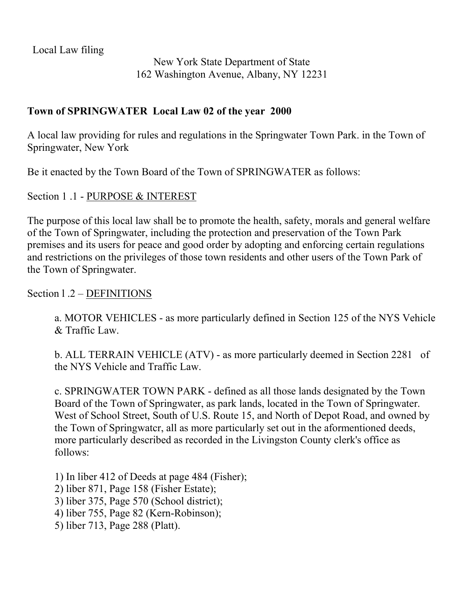Local Law filing

New York State Department of State 162 Washington Avenue, Albany, NY 12231

### **Town of SPRIGWATER Local Law 02 of the year 2000**

A local law providing for rules and regulations in the Springwater Town Park. in the Town of Springwater, New York

Be it enacted by the Town Board of the Town of SPRINGWATER as follows:

#### Section 1 .1 - PURPOSE & INTEREST

The purpose of this local law shall be to promote the health, safety, morals and general welfare of the Town of Springwater, including the protection and preservation of the Town Park premises and its users for peace and good order by adopting and enforcing certain regulations and restrictions on the privileges of those town residents and other users of the Town Park of the Town of Springwater.

### Section l .2 – DEFINITIONS

a. MOTOR VEHICLES - as more particularly defined in Section 125 of the NYS Vehicle & Traffic Law.

b. ALL TERRAIN VEHICLE (ATV) - as more particularly deemed in Section 2281 of the NYS Vehicle and Traffic Law.

c. SPRINGWATER TOWN PARK - defined as all those lands designated by the Town Board of the Town of Springwater, as park lands, located in the Town of Springwater. West of School Street, South of U.S. Route 15, and North of Depot Road, and owned by the Town of Springwatcr, all as more particularly set out in the aformentioned deeds, more particularly described as recorded in the Livingston County clerk's office as follows:

1) In liber 412 of Deeds at page 484 (Fisher);

2) liber 871, Page 158 (Fisher Estate);

3) liber 375, Page 570 (School district);

4) liber 755, Page 82 (Kern-Robinson);

5) liber 713, Page 288 (Platt).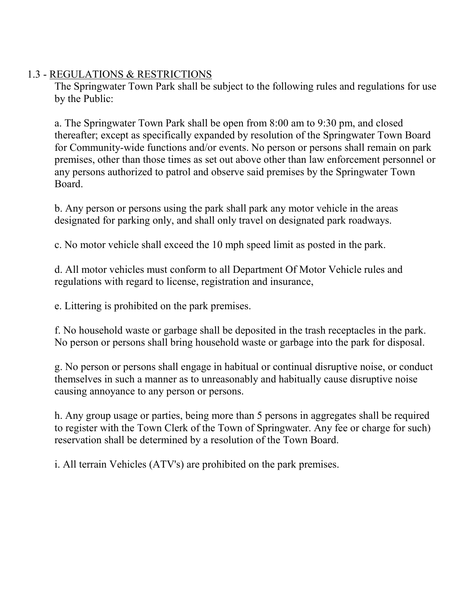### 1.3 - REGULATIONS & RESTRICTIONS

The Springwater Town Park shall be subject to the following rules and regulations for use by the Public:

a. The Springwater Town Park shall be open from 8:00 am to 9:30 pm, and closed thereafter; except as specifically expanded by resolution of the Springwater Town Board for Community-wide functions and/or events. No person or persons shall remain on park premises, other than those times as set out above other than law enforcement personnel or any persons authorized to patrol and observe said premises by the Springwater Town Board.

b. Any person or persons using the park shall park any motor vehicle in the areas designated for parking only, and shall only travel on designated park roadways.

c. No motor vehicle shall exceed the 10 mph speed limit as posted in the park.

d. All motor vehicles must conform to all Department Of Motor Vehicle rules and regulations with regard to license, registration and insurance,

e. Littering is prohibited on the park premises.

f. No household waste or garbage shall be deposited in the trash receptacles in the park. No person or persons shall bring household waste or garbage into the park for disposal.

g. No person or persons shall engage in habitual or continual disruptive noise, or conduct themselves in such a manner as to unreasonably and habitually cause disruptive noise causing annoyance to any person or persons.

h. Any group usage or parties, being more than 5 persons in aggregates shall be required to register with the Town Clerk of the Town of Springwater. Any fee or charge for such) reservation shall be determined by a resolution of the Town Board.

i. All terrain Vehicles (ATV's) are prohibited on the park premises.